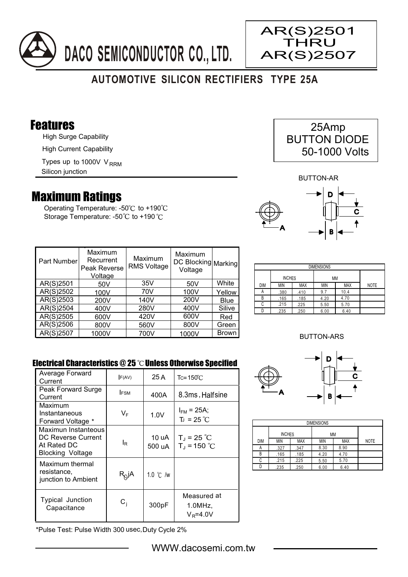

# **AUTOMOTIVE SILICON RECTIFIERS TYPE 25A**

### Features

High Surge Capability

High Current Capability

Types up to 1000V V<sub>RRM</sub>

Silicon junction

## Maximum Ratings

Operating Temperature: - $50^{\circ}$ C to +190 $^{\circ}$ C Storage Temperature: -50°C to +190°C

AR(S)2501 THRU AR(S)2507

BUTTON-AR



| Part Number | Maximum<br>Recurrent<br>Peak Reverse<br>Voltage | Maximum<br><b>RMS Voltage</b> | Maximum<br>DC Blocking Marking<br>Voltage |              |
|-------------|-------------------------------------------------|-------------------------------|-------------------------------------------|--------------|
| AR(S)2501   | 50 <sub>V</sub>                                 | 35V                           | 50V                                       | White        |
| AR(S)2502   | 100V                                            | 70V                           | 100V                                      | Yellow       |
| AR(S)2503   | 200V                                            | 140V                          | 200V                                      | <b>Blue</b>  |
| AR(S)2504   | 400V                                            | 280V                          | 400V                                      | Silive       |
| AR(S)2505   | 600V                                            | 420V                          | 600V                                      | Red          |
| AR(S)2506   | 800V                                            | 560V                          | 800V                                      | Green        |
| AR(S)2507   | 1000V                                           | 700V                          | 1000V                                     | <b>Brown</b> |

| <b>DIMENSIONS</b> |               |            |            |            |             |  |
|-------------------|---------------|------------|------------|------------|-------------|--|
|                   | <b>INCHES</b> |            | МM         |            |             |  |
| <b>DIM</b>        | MIN           | <b>MAX</b> | <b>MIN</b> | <b>MAX</b> | <b>NOTE</b> |  |
| ñ                 | .380          | .410       | 9.7        | 10.4       |             |  |
| В                 | .165          | .185       | 4.20       | 4.70       |             |  |
| C                 | .215          | .225       | 5.50       | 5.70       |             |  |
|                   | .235          | .250       | 6.00       | 6.40       |             |  |

#### BUTTON-ARS

#### Electrical Characteristics  $@25$   $^{\circ}$ C Unless Otherwise Specified

| Average Forward<br>Current                                                   | F(AV)            | 25 A               | $Tc = 150^{\circ}$ C                      |
|------------------------------------------------------------------------------|------------------|--------------------|-------------------------------------------|
| Peak Forward Surge<br>Current                                                | <b>IFSM</b>      | 400A               | 8.3ms, Halfsine                           |
| Maximum<br>Instantaneous<br>Forward Voltage *                                | VF               | 1.0V               | $I_{FM}$ = 25A;<br>$T_1 = 25 °C$          |
| Maximun Instanteous<br>DC Reverse Current<br>At Rated DC<br>Blocking Voltage | ΙR               | 10 uA<br>500 uA    | $T_J = 25 °C$<br>$T_{\rm d}$ = 150 °C     |
| Maximum thermal<br>resistance,<br>junction to Ambient                        | $R_Q$ jA         | 1.0 $\degree$ C /w |                                           |
| <b>Typical Junction</b><br>Capacitance                                       | $\mathtt{C_{i}}$ | 300pF              | Measured at<br>$1.0$ MHz.<br>$V_R = 4.0V$ |

\*Pulse Test: Pulse Width 300 usec,Duty Cycle 2%



| <b>DIMENSIONS</b> |               |            |            |            |             |  |
|-------------------|---------------|------------|------------|------------|-------------|--|
|                   | <b>INCHES</b> |            | <b>MM</b>  |            |             |  |
| <b>DIM</b>        | <b>MIN</b>    | <b>MAX</b> | <b>MIN</b> | <b>MAX</b> | <b>NOTE</b> |  |
| A                 | .327          | .347       | 8.30       | 8.90       |             |  |
| В                 | .165          | .185       | 4.20       | 4.70       |             |  |
| C                 | .215          | .225       | 5.50       | 5.70       |             |  |
| D                 | .235          | .250       | 6.00       | 6.40       |             |  |